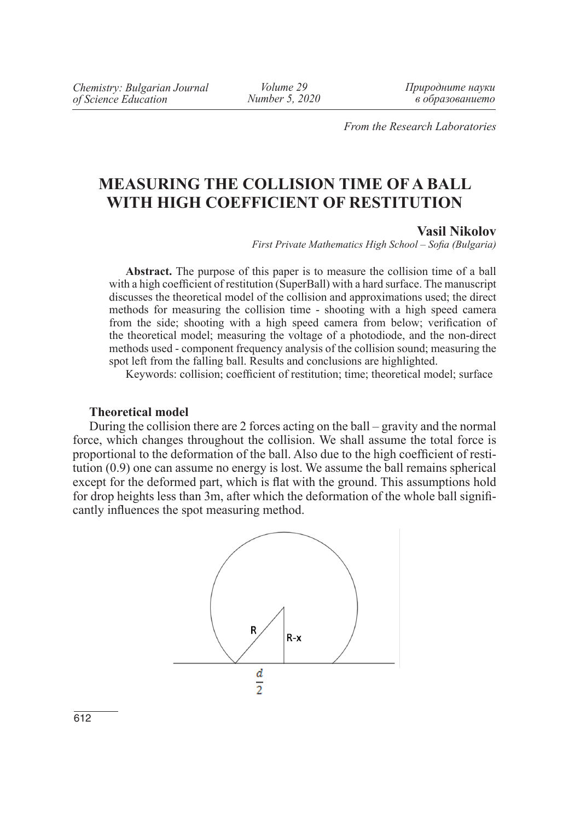*Volume 29 Number 5, 2020* *Природните науки в образованието*

*From the Research Laboratories*

# **MEASURING THE COLLISION TIME OF A BALL WITH HIGH COEFFICIENT OF RESTITUTION**

#### **Vasil Nikolov**

*First Private Mathematics High School – Sofia (Bulgaria)*

**Abstract.** The purpose of this paper is to measure the collision time of a ball with a high coefficient of restitution (SuperBall) with a hard surface. The manuscript discusses the theoretical model of the collision and approximations used; the direct methods for measuring the collision time - shooting with a high speed camera from the side; shooting with a high speed camera from below; verification of the theoretical model; measuring the voltage of a photodiode, and the non-direct methods used - component frequency analysis of the collision sound; measuring the spot left from the falling ball. Results and conclusions are highlighted.

Keywords: collision; coefficient of restitution; time; theoretical model; surface

## **Theoretical model**

During the collision there are 2 forces acting on the ball – gravity and the normal force, which changes throughout the collision. We shall assume the total force is proportional to the deformation of the ball. Also due to the high coefficient of restitution (0.9) one can assume no energy is lost. We assume the ball remains spherical except for the deformed part, which is flat with the ground. This assumptions hold for drop heights less than 3m, after which the deformation of the whole ball significantly influences the spot measuring method.

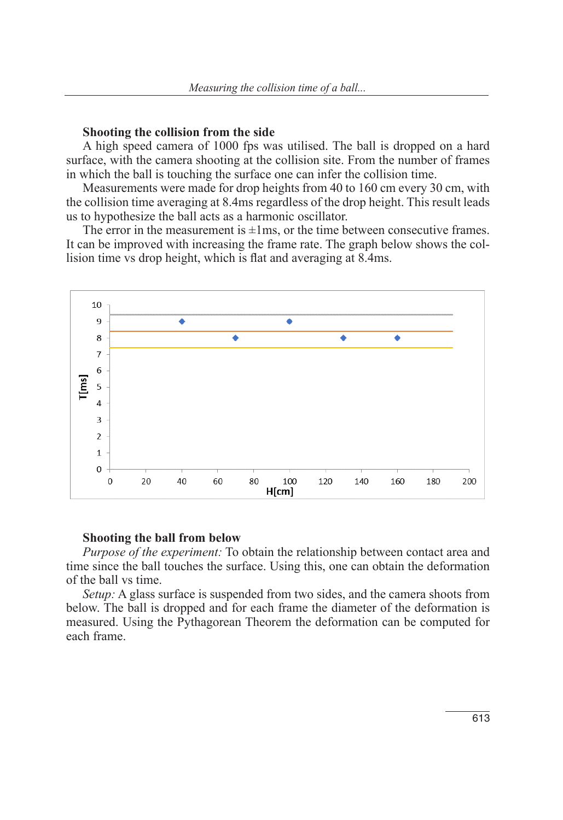#### **Shooting the collision from the side**

A high speed camera of 1000 fps was utilised. The ball is dropped on a hard surface, with the camera shooting at the collision site. From the number of frames in which the ball is touching the surface one can infer the collision time.

Measurements were made for drop heights from 40 to 160 cm every 30 cm, with the collision time averaging at 8.4ms regardless of the drop height. This result leads us to hypothesize the ball acts as a harmonic oscillator.

The error in the measurement is  $\pm 1$ ms, or the time between consecutive frames. It can be improved with increasing the frame rate. The graph below shows the collision time vs drop height, which is flat and averaging at 8.4ms.



#### **Shooting the ball from below**

*Purpose of the experiment:* To obtain the relationship between contact area and time since the ball touches the surface. Using this, one can obtain the deformation of the ball vs time.

*Setup:* A glass surface is suspended from two sides, and the camera shoots from below. The ball is dropped and for each frame the diameter of the deformation is measured. Using the Pythagorean Theorem the deformation can be computed for each frame.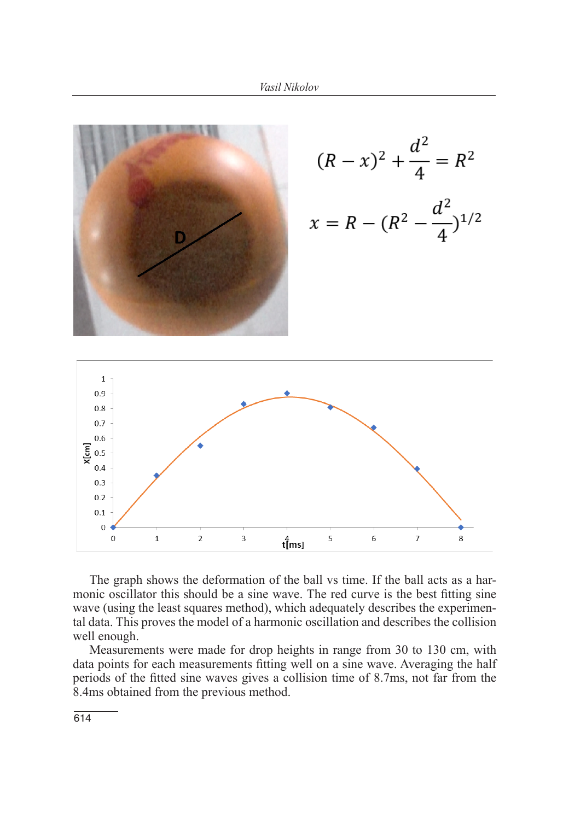

$$
(R - x)^2 + \frac{d^2}{4} = R^2
$$
  

$$
x = R - (R^2 - \frac{d^2}{4})^{1/2}
$$



The graph shows the deformation of the ball vs time. If the ball acts as a harmonic oscillator this should be a sine wave. The red curve is the best fitting sine wave (using the least squares method), which adequately describes the experimental data. This proves the model of a harmonic oscillation and describes the collision well enough.

Measurements were made for drop heights in range from 30 to 130 cm, with data points for each measurements fitting well on a sine wave. Averaging the half periods of the fitted sine waves gives a collision time of 8.7ms, not far from the 8.4ms obtained from the previous method.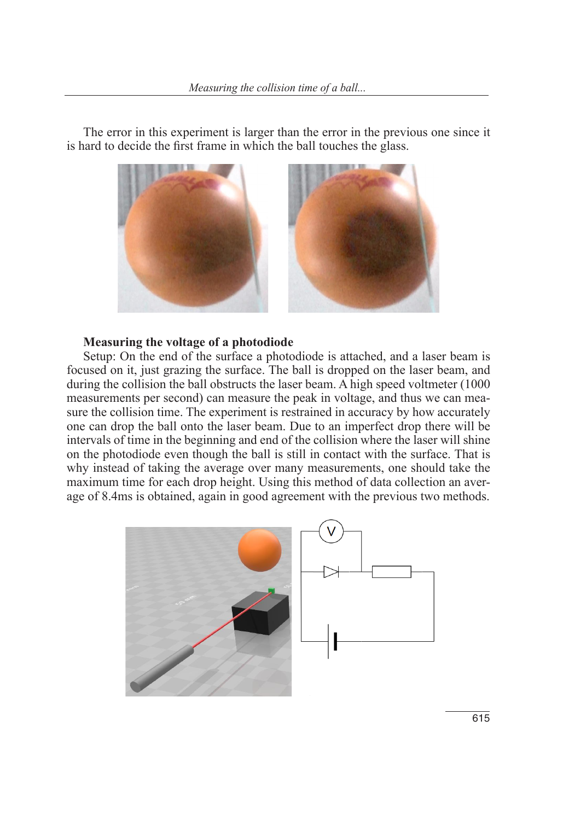The error in this experiment is larger than the error in the previous one since it is hard to decide the first frame in which the ball touches the glass.



# **Measuring the voltage of a photodiode Measuring the voltage of a photodiode**

method.

Setup: On the end of the surface a photodiode is attached, and a laser beam is  $\frac{1}{2}$  the surface. The ball is dropped on the collision the collision the collision the collision the ball obstructs the ball obstructs of the collision the ball obstructs of the collision the collision the collision focused on it, just grazing the surface. The ball is dropped on the laser beam, and during the collision the ball obstructs the laser beam. A high speed voltmeter (1000 measurements per second) can measure the peak in voltage, and thus we can measure the collision time. The experiment is restrained in accuracy by how accurately though the ball in containing is still income of the average of the average. one can drop the ball onto the laser beam. Due to an imperfect drop there will be intervals of time in the beginning and end of the collision where the laser will shine on the photodiode even though the ball is still in contact with the surface. That is why instead of taking the average over many measurements, one should take the maximum time for each drop height. Using this method of data collection an average of 8.4ms is obtained, again in good agreement with the previous two methods.

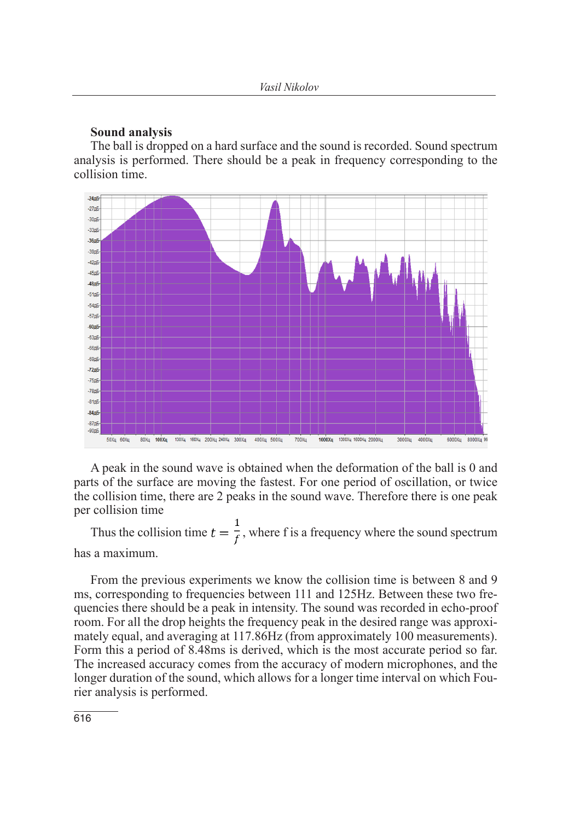#### **Sound analysis**

The ball is dropped on a hard surface and the sound is recorded. Sound spectrum analysis is performed. There should be a peak in frequency corresponding to the collision time.



A peak in the sound wave is obtained when the deformation of the ball is 0 and parts of the surface are moving the fastest. For one period of oscillation, or twice the collision time, there are 2 peaks in the sound wave. Therefore there is one peak per collision time

Thus the collision time  $t = \frac{1}{f}$ , where f is a frequency where the sound spectrum has a maximum.

From the previous experiments we know the collision time is between 8 and 9 ms, corresponding to frequencies between 111 and 125Hz. Between these two frequencies there should be a peak in intensity. The sound was recorded in echo-proof room. For all the drop heights the frequency peak in the desired range was approximately equal, and averaging at 117.86Hz (from approximately 100 measurements). Form this a period of 8.48ms is derived, which is the most accurate period so far. The increased accuracy comes from the accuracy of modern microphones, and the longer duration of the sound, which allows for a longer time interval on which Fourier analysis is performed.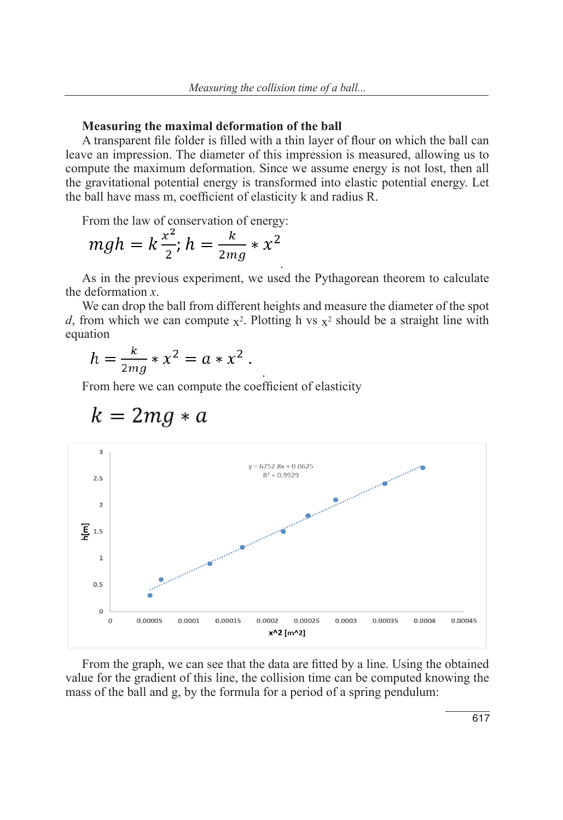#### **Measuring the maximal deformation of the ball**

A transparent file folder is filled with a thin layer of flour on which the ball can leave an impression. The diameter of this impression is measured, allowing us to compute the maximum deformation. Since we assume energy is not lost, then all the gravitational potential energy is transformed into elastic potential energy. Let the ball have mass m, coefficient of elasticity k and radius R.

From the law of conservation of energy:

$$
mgh = k\frac{x^2}{2}; h = \frac{k}{2mg} * x^2
$$

As in the previous experiment, we used the Pythagorean theorem to calculate the deformation *x*.

.

We can drop the ball from different heights and measure the diameter of the spot *d*, from which we can compute  $x^2$ . Plotting h vs  $x^2$  should be a straight line with equation

.

$$
h = \frac{k}{2mg} * x^2 = a * x^2.
$$

From here we can compute the coefficient of elasticity



$$
k = 2mg * a
$$

From the graph, we can see that the data are fitted by a line. Using the obtained value for the gradient of this line, the collision time can be computed knowing the mass of the ball and g, by the formula for a period of a spring pendulum: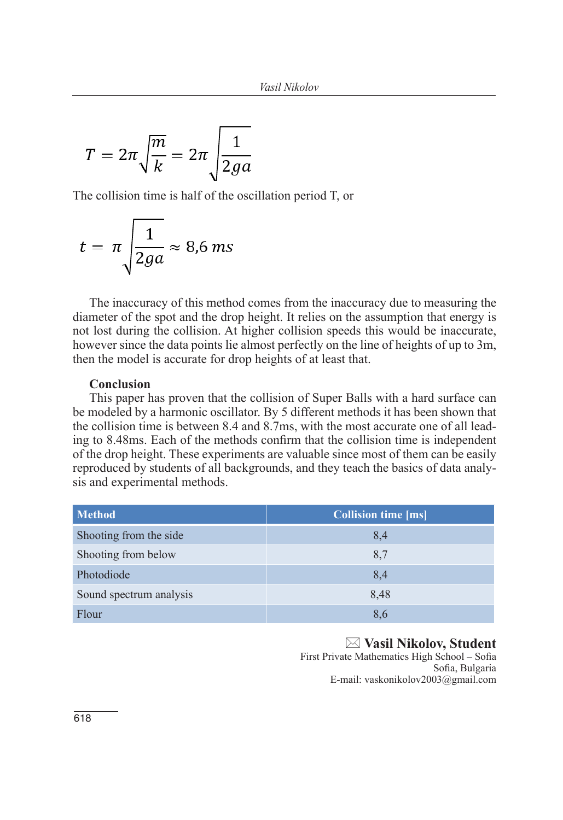$$
T = 2\pi \sqrt{\frac{m}{k}} = 2\pi \sqrt{\frac{1}{2ga}}
$$

The collision time is half of the oscillation period T, or

$$
t = \pi \sqrt{\frac{1}{2ga}} \approx 8.6 \, \text{ms}
$$

The inaccuracy of this method comes from the inaccuracy due to measuring the diameter of the spot and the drop height. It relies on the assumption that energy is not lost during the collision. At higher collision speeds this would be inaccurate, however since the data points lie almost perfectly on the line of heights of up to 3m, then the model is accurate for drop heights of at least that.

## **Conclusion**

This paper has proven that the collision of Super Balls with a hard surface can be modeled by a harmonic oscillator. By 5 different methods it has been shown that the collision time is between 8.4 and 8.7ms, with the most accurate one of all leading to 8.48ms. Each of the methods confirm that the collision time is independent of the drop height. These experiments are valuable since most of them can be easily reproduced by students of all backgrounds, and they teach the basics of data analysis and experimental methods.

| <b>Method</b>           | <b>Collision time [ms]</b> |
|-------------------------|----------------------------|
| Shooting from the side  | 8,4                        |
| Shooting from below     | 8.7                        |
| Photodiode              | 8.4                        |
| Sound spectrum analysis | 8,48                       |
| Flour                   | 8.6                        |

 **Vasil Nikolov, Student** First Private Mathematics High School – Sofia Sofia, Bulgaria E-mail: vaskonikolov2003@gmail.com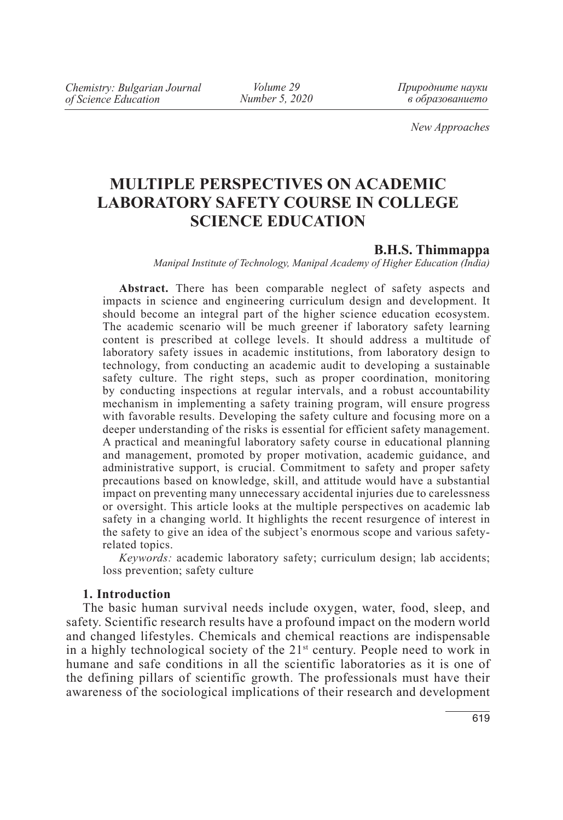*Volume 29 Number 5, 2020* *Природните науки в образованието*

*New Approaches*

# **MULTIPLE PERSPECTIVES ON ACADEMIC LABORATORY SAFETY COURSE IN COLLEGE SCIENCE EDUCATION**

### **B.H.S. Thimmappa**

*Manipal Institute of Technology, Manipal Academy of Higher Education (India)*

**Abstract.** There has been comparable neglect of safety aspects and impacts in science and engineering curriculum design and development. It should become an integral part of the higher science education ecosystem. The academic scenario will be much greener if laboratory safety learning content is prescribed at college levels. It should address a multitude of laboratory safety issues in academic institutions, from laboratory design to technology, from conducting an academic audit to developing a sustainable safety culture. The right steps, such as proper coordination, monitoring by conducting inspections at regular intervals, and a robust accountability mechanism in implementing a safety training program, will ensure progress with favorable results. Developing the safety culture and focusing more on a deeper understanding of the risks is essential for efficient safety management. A practical and meaningful laboratory safety course in educational planning and management, promoted by proper motivation, academic guidance, and administrative support, is crucial. Commitment to safety and proper safety precautions based on knowledge, skill, and attitude would have a substantial impact on preventing many unnecessary accidental injuries due to carelessness or oversight. This article looks at the multiple perspectives on academic lab safety in a changing world. It highlights the recent resurgence of interest in the safety to give an idea of the subject's enormous scope and various safetyrelated topics.

*Keywords:* academic laboratory safety; curriculum design; lab accidents; loss prevention; safety culture

## **1. Introduction**

The basic human survival needs include oxygen, water, food, sleep, and safety. Scientific research results have a profound impact on the modern world and changed lifestyles. Chemicals and chemical reactions are indispensable in a highly technological society of the  $21<sup>st</sup>$  century. People need to work in humane and safe conditions in all the scientific laboratories as it is one of the defining pillars of scientific growth. The professionals must have their awareness of the sociological implications of their research and development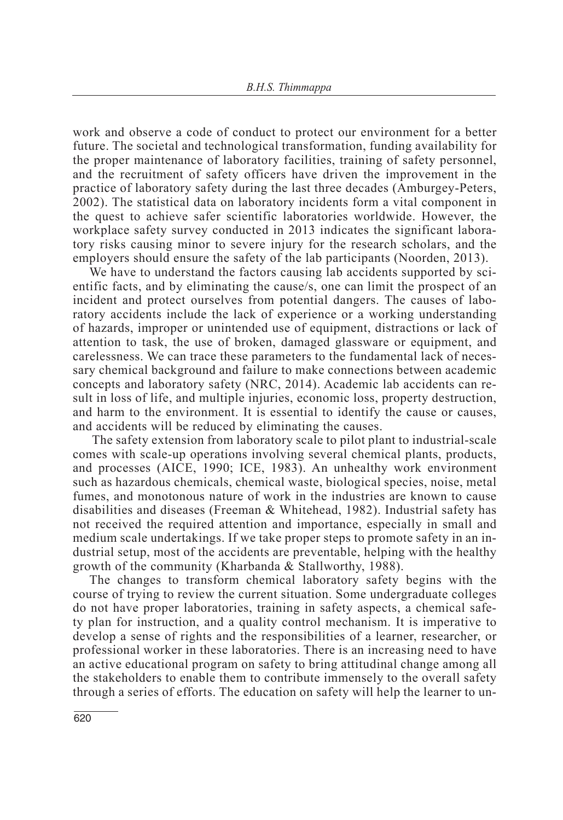work and observe a code of conduct to protect our environment for a better future. The societal and technological transformation, funding availability for the proper maintenance of laboratory facilities, training of safety personnel, and the recruitment of safety officers have driven the improvement in the practice of laboratory safety during the last three decades (Amburgey-Peters, 2002). The statistical data on laboratory incidents form a vital component in the quest to achieve safer scientific laboratories worldwide. However, the workplace safety survey conducted in 2013 indicates the significant laboratory risks causing minor to severe injury for the research scholars, and the employers should ensure the safety of the lab participants (Noorden, 2013).

We have to understand the factors causing lab accidents supported by scientific facts, and by eliminating the cause/s, one can limit the prospect of an incident and protect ourselves from potential dangers. The causes of laboratory accidents include the lack of experience or a working understanding of hazards, improper or unintended use of equipment, distractions or lack of attention to task, the use of broken, damaged glassware or equipment, and carelessness. We can trace these parameters to the fundamental lack of necessary chemical background and failure to make connections between academic concepts and laboratory safety (NRC, 2014). Academic lab accidents can result in loss of life, and multiple injuries, economic loss, property destruction, and harm to the environment. It is essential to identify the cause or causes, and accidents will be reduced by eliminating the causes.

 The safety extension from laboratory scale to pilot plant to industrial-scale comes with scale-up operations involving several chemical plants, products, and processes (AICE, 1990; ICE, 1983). An unhealthy work environment such as hazardous chemicals, chemical waste, biological species, noise, metal fumes, and monotonous nature of work in the industries are known to cause disabilities and diseases (Freeman & Whitehead, 1982). Industrial safety has not received the required attention and importance, especially in small and medium scale undertakings. If we take proper steps to promote safety in an industrial setup, most of the accidents are preventable, helping with the healthy growth of the community (Kharbanda & Stallworthy, 1988).

The changes to transform chemical laboratory safety begins with the course of trying to review the current situation. Some undergraduate colleges do not have proper laboratories, training in safety aspects, a chemical safety plan for instruction, and a quality control mechanism. It is imperative to develop a sense of rights and the responsibilities of a learner, researcher, or professional worker in these laboratories. There is an increasing need to have an active educational program on safety to bring attitudinal change among all the stakeholders to enable them to contribute immensely to the overall safety through a series of efforts. The education on safety will help the learner to un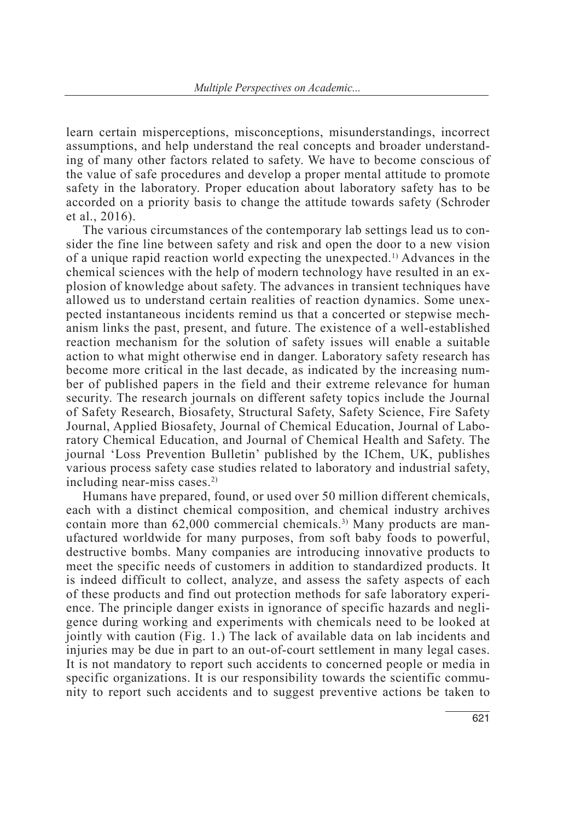learn certain misperceptions, misconceptions, misunderstandings, incorrect assumptions, and help understand the real concepts and broader understanding of many other factors related to safety. We have to become conscious of the value of safe procedures and develop a proper mental attitude to promote safety in the laboratory. Proper education about laboratory safety has to be accorded on a priority basis to change the attitude towards safety (Schroder et al., 2016).

The various circumstances of the contemporary lab settings lead us to consider the fine line between safety and risk and open the door to a new vision of a unique rapid reaction world expecting the unexpected.<sup>1)</sup> Advances in the chemical sciences with the help of modern technology have resulted in an explosion of knowledge about safety. The advances in transient techniques have allowed us to understand certain realities of reaction dynamics. Some unexpected instantaneous incidents remind us that a concerted or stepwise mechanism links the past, present, and future. The existence of a well-established reaction mechanism for the solution of safety issues will enable a suitable action to what might otherwise end in danger. Laboratory safety research has become more critical in the last decade, as indicated by the increasing number of published papers in the field and their extreme relevance for human security. The research journals on different safety topics include the Journal of Safety Research, Biosafety, Structural Safety, Safety Science, Fire Safety Journal, Applied Biosafety, Journal of Chemical Education, Journal of Laboratory Chemical Education, and Journal of Chemical Health and Safety. The journal 'Loss Prevention Bulletin' published by the IChem, UK, publishes various process safety case studies related to laboratory and industrial safety, including near-miss cases.2)

Humans have prepared, found, or used over 50 million different chemicals, each with a distinct chemical composition, and chemical industry archives contain more than  $62,000$  commercial chemicals.<sup>3)</sup> Many products are manufactured worldwide for many purposes, from soft baby foods to powerful, destructive bombs. Many companies are introducing innovative products to meet the specific needs of customers in addition to standardized products. It is indeed difficult to collect, analyze, and assess the safety aspects of each of these products and find out protection methods for safe laboratory experience. The principle danger exists in ignorance of specific hazards and negligence during working and experiments with chemicals need to be looked at jointly with caution (Fig. 1.) The lack of available data on lab incidents and injuries may be due in part to an out-of-court settlement in many legal cases. It is not mandatory to report such accidents to concerned people or media in specific organizations. It is our responsibility towards the scientific community to report such accidents and to suggest preventive actions be taken to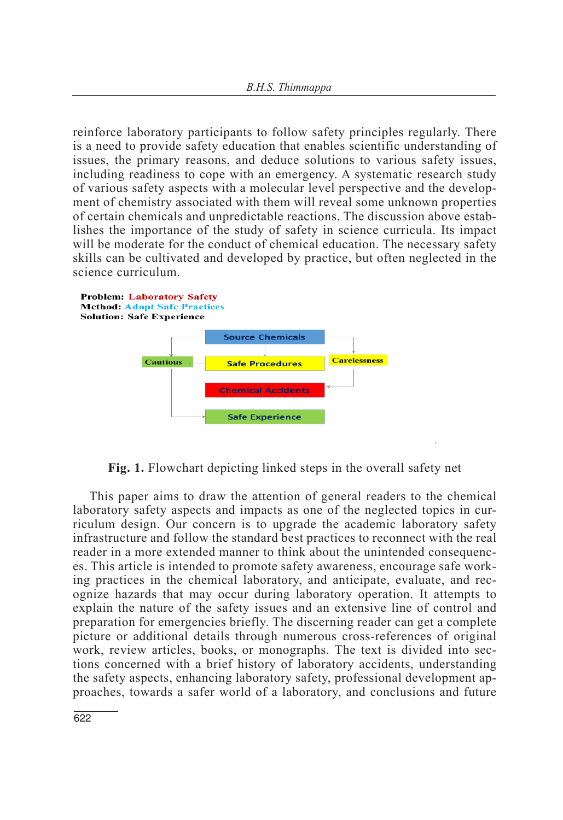reinforce laboratory participants to follow safety principles regularly. There is a need to provide safety education that enables scientific understanding of issues, the primary reasons, and deduce solutions to various safety issues, including readiness to cope with an emergency. A systematic research study of various safety aspects with a molecular level perspective and the development of chemistry associated with them will reveal some unknown properties of certain chemicals and unpredictable reactions. The discussion above establishes the importance of the study of safety in science curricula. Its impact will be moderate for the conduct of chemical education. The necessary safety skills can be cultivated and developed by practice, but often neglected in the science curriculum.



**Fig. 1.** Flowchart depicting linked steps in the overall safety net

This paper aims to draw the attention of general readers to the chemical laboratory safety aspects and impacts as one of the neglected topics in curriculum design. Our concern is to upgrade the academic laboratory safety infrastructure and follow the standard best practices to reconnect with the real reader in a more extended manner to think about the unintended consequences. This article is intended to promote safety awareness, encourage safe working practices in the chemical laboratory, and anticipate, evaluate, and recognize hazards that may occur during laboratory operation. It attempts to explain the nature of the safety issues and an extensive line of control and preparation for emergencies briefly. The discerning reader can get a complete picture or additional details through numerous cross-references of original work, review articles, books, or monographs. The text is divided into sections concerned with a brief history of laboratory accidents, understanding the safety aspects, enhancing laboratory safety, professional development approaches, towards a safer world of a laboratory, and conclusions and future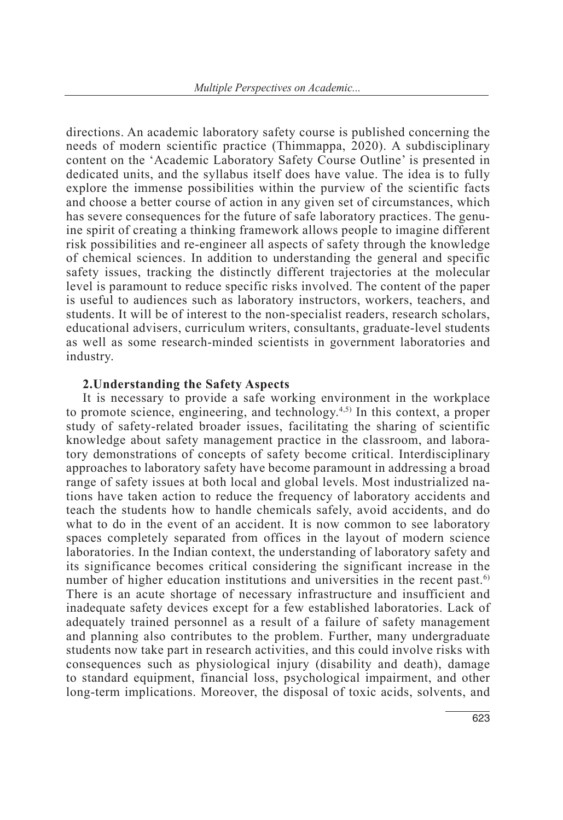directions. An academic laboratory safety course is published concerning the needs of modern scientific practice (Thimmappa, 2020). A subdisciplinary content on the 'Academic Laboratory Safety Course Outline' is presented in dedicated units, and the syllabus itself does have value. The idea is to fully explore the immense possibilities within the purview of the scientific facts and choose a better course of action in any given set of circumstances, which has severe consequences for the future of safe laboratory practices. The genuine spirit of creating a thinking framework allows people to imagine different risk possibilities and re-engineer all aspects of safety through the knowledge of chemical sciences. In addition to understanding the general and specific safety issues, tracking the distinctly different trajectories at the molecular level is paramount to reduce specific risks involved. The content of the paper is useful to audiences such as laboratory instructors, workers, teachers, and students. It will be of interest to the non-specialist readers, research scholars, educational advisers, curriculum writers, consultants, graduate-level students as well as some research-minded scientists in government laboratories and industry.

### **2.Understanding the Safety Aspects**

It is necessary to provide a safe working environment in the workplace to promote science, engineering, and technology.4,5) In this context, a proper study of safety-related broader issues, facilitating the sharing of scientific knowledge about safety management practice in the classroom, and laboratory demonstrations of concepts of safety become critical. Interdisciplinary approaches to laboratory safety have become paramount in addressing a broad range of safety issues at both local and global levels. Most industrialized nations have taken action to reduce the frequency of laboratory accidents and teach the students how to handle chemicals safely, avoid accidents, and do what to do in the event of an accident. It is now common to see laboratory spaces completely separated from offices in the layout of modern science laboratories. In the Indian context, the understanding of laboratory safety and its significance becomes critical considering the significant increase in the number of higher education institutions and universities in the recent past.<sup>6)</sup> There is an acute shortage of necessary infrastructure and insufficient and inadequate safety devices except for a few established laboratories. Lack of adequately trained personnel as a result of a failure of safety management and planning also contributes to the problem. Further, many undergraduate students now take part in research activities, and this could involve risks with consequences such as physiological injury (disability and death), damage to standard equipment, financial loss, psychological impairment, and other long-term implications. Moreover, the disposal of toxic acids, solvents, and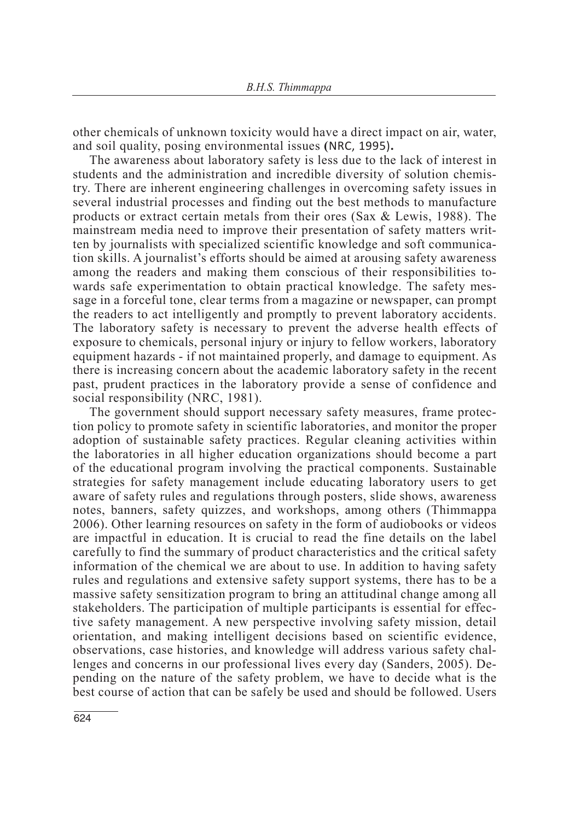other chemicals of unknown toxicity would have a direct impact on air, water, and soil quality, posing environmental issues **(**NRC, 1995)**.**

The awareness about laboratory safety is less due to the lack of interest in students and the administration and incredible diversity of solution chemistry. There are inherent engineering challenges in overcoming safety issues in several industrial processes and finding out the best methods to manufacture products or extract certain metals from their ores (Sax & Lewis, 1988). The mainstream media need to improve their presentation of safety matters written by journalists with specialized scientific knowledge and soft communication skills. A journalist's efforts should be aimed at arousing safety awareness among the readers and making them conscious of their responsibilities towards safe experimentation to obtain practical knowledge. The safety message in a forceful tone, clear terms from a magazine or newspaper, can prompt the readers to act intelligently and promptly to prevent laboratory accidents. The laboratory safety is necessary to prevent the adverse health effects of exposure to chemicals, personal injury or injury to fellow workers, laboratory equipment hazards - if not maintained properly, and damage to equipment. As there is increasing concern about the academic laboratory safety in the recent past, prudent practices in the laboratory provide a sense of confidence and social responsibility (NRC, 1981).

The government should support necessary safety measures, frame protection policy to promote safety in scientific laboratories, and monitor the proper adoption of sustainable safety practices. Regular cleaning activities within the laboratories in all higher education organizations should become a part of the educational program involving the practical components. Sustainable strategies for safety management include educating laboratory users to get aware of safety rules and regulations through posters, slide shows, awareness notes, banners, safety quizzes, and workshops, among others (Thimmappa 2006). Other learning resources on safety in the form of audiobooks or videos are impactful in education. It is crucial to read the fine details on the label carefully to find the summary of product characteristics and the critical safety information of the chemical we are about to use. In addition to having safety rules and regulations and extensive safety support systems, there has to be a massive safety sensitization program to bring an attitudinal change among all stakeholders. The participation of multiple participants is essential for effective safety management. A new perspective involving safety mission, detail orientation, and making intelligent decisions based on scientific evidence, observations, case histories, and knowledge will address various safety challenges and concerns in our professional lives every day (Sanders, 2005). Depending on the nature of the safety problem, we have to decide what is the best course of action that can be safely be used and should be followed. Users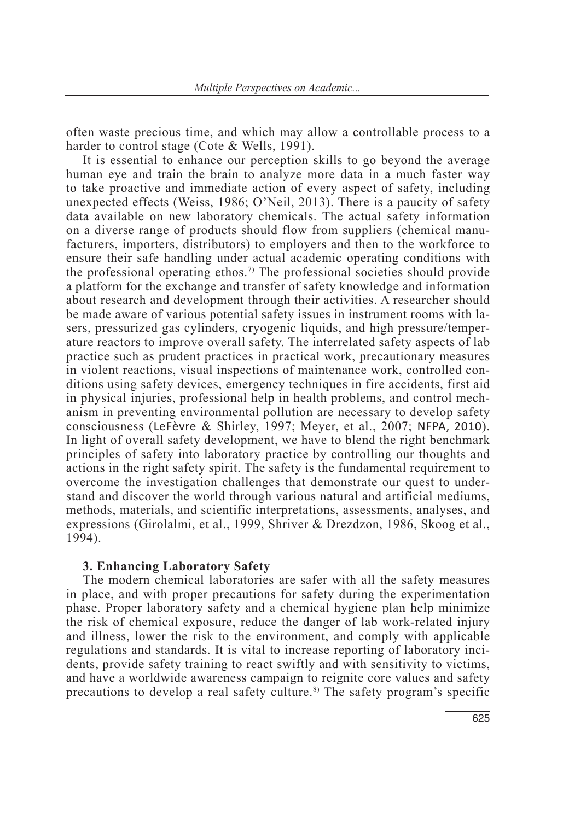often waste precious time, and which may allow a controllable process to a harder to control stage (Cote & Wells, 1991).

It is essential to enhance our perception skills to go beyond the average human eye and train the brain to analyze more data in a much faster way to take proactive and immediate action of every aspect of safety, including unexpected effects (Weiss, 1986; O'Neil, 2013). There is a paucity of safety data available on new laboratory chemicals. The actual safety information on a diverse range of products should flow from suppliers (chemical manufacturers, importers, distributors) to employers and then to the workforce to ensure their safe handling under actual academic operating conditions with the professional operating ethos.<sup>7)</sup> The professional societies should provide a platform for the exchange and transfer of safety knowledge and information about research and development through their activities. A researcher should be made aware of various potential safety issues in instrument rooms with lasers, pressurized gas cylinders, cryogenic liquids, and high pressure/temperature reactors to improve overall safety. The interrelated safety aspects of lab practice such as prudent practices in practical work, precautionary measures in violent reactions, visual inspections of maintenance work, controlled conditions using safety devices, emergency techniques in fire accidents, first aid in physical injuries, professional help in health problems, and control mechanism in preventing environmental pollution are necessary to develop safety consciousness (LeFèvre & Shirley, 1997; Meyer, et al., 2007; NFPA, 2010). In light of overall safety development, we have to blend the right benchmark principles of safety into laboratory practice by controlling our thoughts and actions in the right safety spirit. The safety is the fundamental requirement to overcome the investigation challenges that demonstrate our quest to understand and discover the world through various natural and artificial mediums, methods, materials, and scientific interpretations, assessments, analyses, and expressions (Girolalmi, et al., 1999, Shriver & Drezdzon, 1986, Skoog et al., 1994).

### **3. Enhancing Laboratory Safety**

The modern chemical laboratories are safer with all the safety measures in place, and with proper precautions for safety during the experimentation phase. Proper laboratory safety and a chemical hygiene plan help minimize the risk of chemical exposure, reduce the danger of lab work-related injury and illness, lower the risk to the environment, and comply with applicable regulations and standards. It is vital to increase reporting of laboratory incidents, provide safety training to react swiftly and with sensitivity to victims, and have a worldwide awareness campaign to reignite core values and safety precautions to develop a real safety culture.<sup>8)</sup> The safety program's specific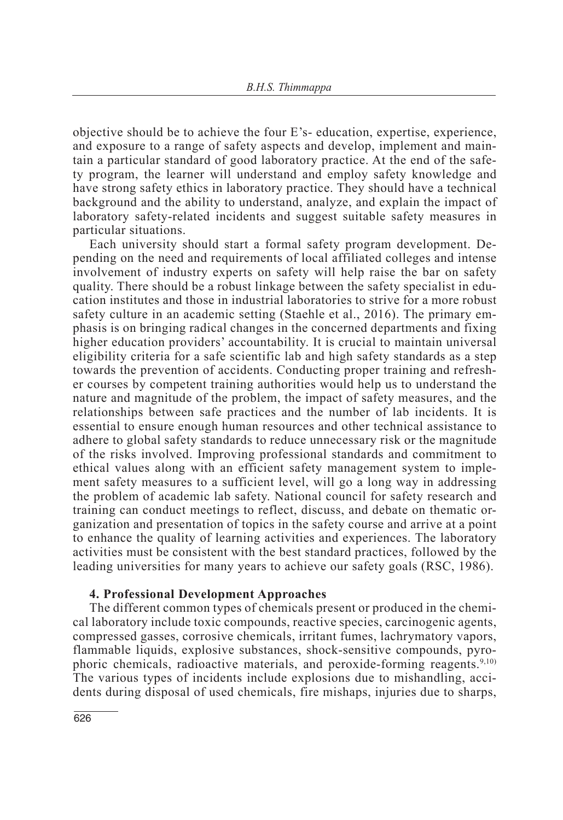objective should be to achieve the four E's- education, expertise, experience, and exposure to a range of safety aspects and develop, implement and maintain a particular standard of good laboratory practice. At the end of the safety program, the learner will understand and employ safety knowledge and have strong safety ethics in laboratory practice. They should have a technical background and the ability to understand, analyze, and explain the impact of laboratory safety-related incidents and suggest suitable safety measures in particular situations.

Each university should start a formal safety program development. Depending on the need and requirements of local affiliated colleges and intense involvement of industry experts on safety will help raise the bar on safety quality. There should be a robust linkage between the safety specialist in education institutes and those in industrial laboratories to strive for a more robust safety culture in an academic setting (Staehle et al., 2016). The primary emphasis is on bringing radical changes in the concerned departments and fixing higher education providers' accountability. It is crucial to maintain universal eligibility criteria for a safe scientific lab and high safety standards as a step towards the prevention of accidents. Conducting proper training and refresher courses by competent training authorities would help us to understand the nature and magnitude of the problem, the impact of safety measures, and the relationships between safe practices and the number of lab incidents. It is essential to ensure enough human resources and other technical assistance to adhere to global safety standards to reduce unnecessary risk or the magnitude of the risks involved. Improving professional standards and commitment to ethical values along with an efficient safety management system to implement safety measures to a sufficient level, will go a long way in addressing the problem of academic lab safety. National council for safety research and training can conduct meetings to reflect, discuss, and debate on thematic organization and presentation of topics in the safety course and arrive at a point to enhance the quality of learning activities and experiences. The laboratory activities must be consistent with the best standard practices, followed by the leading universities for many years to achieve our safety goals (RSC, 1986).

## **4. Professional Development Approaches**

The different common types of chemicals present or produced in the chemical laboratory include toxic compounds, reactive species, carcinogenic agents, compressed gasses, corrosive chemicals, irritant fumes, lachrymatory vapors, flammable liquids, explosive substances, shock-sensitive compounds, pyrophoric chemicals, radioactive materials, and peroxide-forming reagents.<sup>9,10)</sup> The various types of incidents include explosions due to mishandling, accidents during disposal of used chemicals, fire mishaps, injuries due to sharps,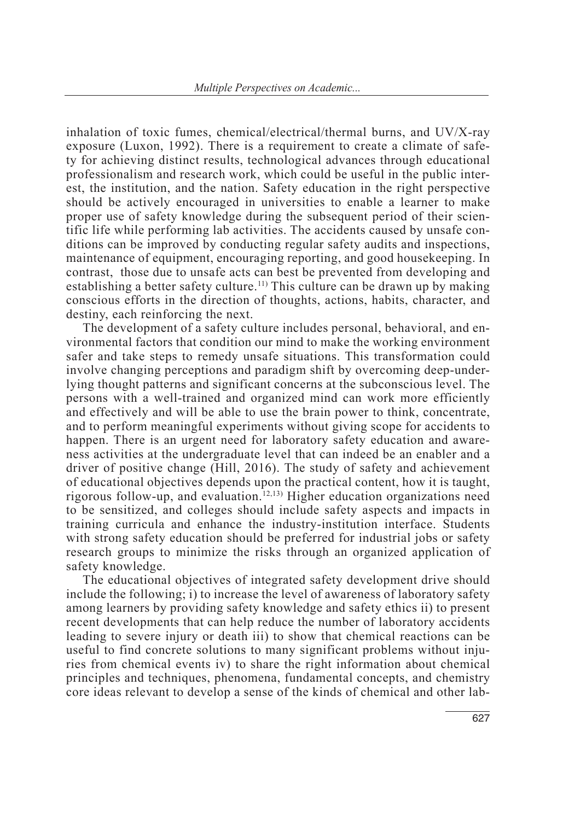inhalation of toxic fumes, chemical/electrical/thermal burns, and UV/X-ray exposure (Luxon, 1992). There is a requirement to create a climate of safety for achieving distinct results, technological advances through educational professionalism and research work, which could be useful in the public interest, the institution, and the nation. Safety education in the right perspective should be actively encouraged in universities to enable a learner to make proper use of safety knowledge during the subsequent period of their scientific life while performing lab activities. The accidents caused by unsafe conditions can be improved by conducting regular safety audits and inspections, maintenance of equipment, encouraging reporting, and good housekeeping. In contrast, those due to unsafe acts can best be prevented from developing and establishing a better safety culture.<sup>11)</sup> This culture can be drawn up by making conscious efforts in the direction of thoughts, actions, habits, character, and destiny, each reinforcing the next.

The development of a safety culture includes personal, behavioral, and environmental factors that condition our mind to make the working environment safer and take steps to remedy unsafe situations. This transformation could involve changing perceptions and paradigm shift by overcoming deep-underlying thought patterns and significant concerns at the subconscious level. The persons with a well-trained and organized mind can work more efficiently and effectively and will be able to use the brain power to think, concentrate, and to perform meaningful experiments without giving scope for accidents to happen. There is an urgent need for laboratory safety education and awareness activities at the undergraduate level that can indeed be an enabler and a driver of positive change (Hill, 2016). The study of safety and achievement of educational objectives depends upon the practical content, how it is taught, rigorous follow-up, and evaluation.<sup>12,13)</sup> Higher education organizations need to be sensitized, and colleges should include safety aspects and impacts in training curricula and enhance the industry-institution interface. Students with strong safety education should be preferred for industrial jobs or safety research groups to minimize the risks through an organized application of safety knowledge.

The educational objectives of integrated safety development drive should include the following; i) to increase the level of awareness of laboratory safety among learners by providing safety knowledge and safety ethics ii) to present recent developments that can help reduce the number of laboratory accidents leading to severe injury or death iii) to show that chemical reactions can be useful to find concrete solutions to many significant problems without injuries from chemical events iv) to share the right information about chemical principles and techniques, phenomena, fundamental concepts, and chemistry core ideas relevant to develop a sense of the kinds of chemical and other lab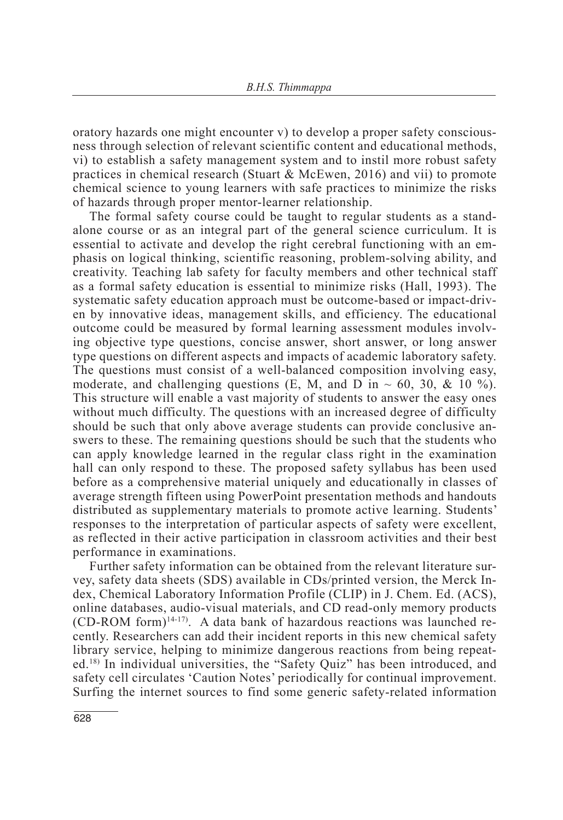oratory hazards one might encounter v) to develop a proper safety consciousness through selection of relevant scientific content and educational methods, vi) to establish a safety management system and to instil more robust safety practices in chemical research (Stuart & McEwen, 2016) and vii) to promote chemical science to young learners with safe practices to minimize the risks of hazards through proper mentor-learner relationship.

The formal safety course could be taught to regular students as a standalone course or as an integral part of the general science curriculum. It is essential to activate and develop the right cerebral functioning with an emphasis on logical thinking, scientific reasoning, problem-solving ability, and creativity. Teaching lab safety for faculty members and other technical staff as a formal safety education is essential to minimize risks (Hall, 1993). The systematic safety education approach must be outcome-based or impact-driven by innovative ideas, management skills, and efficiency. The educational outcome could be measured by formal learning assessment modules involving objective type questions, concise answer, short answer, or long answer type questions on different aspects and impacts of academic laboratory safety. The questions must consist of a well-balanced composition involving easy, moderate, and challenging questions (E, M, and D in  $\sim$  60, 30, & 10 %). This structure will enable a vast majority of students to answer the easy ones without much difficulty. The questions with an increased degree of difficulty should be such that only above average students can provide conclusive answers to these. The remaining questions should be such that the students who can apply knowledge learned in the regular class right in the examination hall can only respond to these. The proposed safety syllabus has been used before as a comprehensive material uniquely and educationally in classes of average strength fifteen using PowerPoint presentation methods and handouts distributed as supplementary materials to promote active learning. Students' responses to the interpretation of particular aspects of safety were excellent, as reflected in their active participation in classroom activities and their best performance in examinations.

Further safety information can be obtained from the relevant literature survey, safety data sheets (SDS) available in CDs/printed version, the Merck Index, Chemical Laboratory Information Profile (CLIP) in J. Chem. Ed. (ACS), online databases, audio-visual materials, and CD read-only memory products  $(CD-ROM form)^{14-17}$ . A data bank of hazardous reactions was launched recently. Researchers can add their incident reports in this new chemical safety library service, helping to minimize dangerous reactions from being repeated.18) In individual universities, the "Safety Quiz" has been introduced, and safety cell circulates 'Caution Notes' periodically for continual improvement. Surfing the internet sources to find some generic safety-related information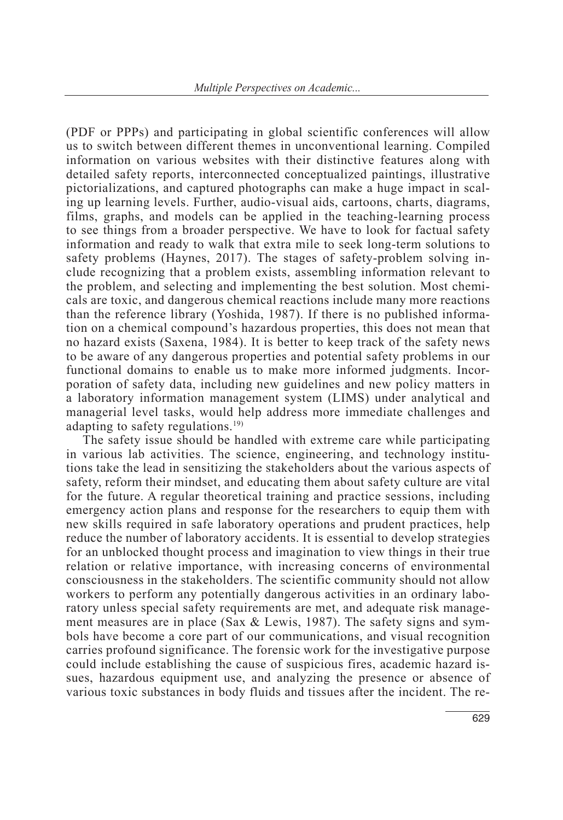(PDF or PPPs) and participating in global scientific conferences will allow us to switch between different themes in unconventional learning. Compiled information on various websites with their distinctive features along with detailed safety reports, interconnected conceptualized paintings, illustrative pictorializations, and captured photographs can make a huge impact in scaling up learning levels. Further, audio-visual aids, cartoons, charts, diagrams, films, graphs, and models can be applied in the teaching-learning process to see things from a broader perspective. We have to look for factual safety information and ready to walk that extra mile to seek long-term solutions to safety problems (Haynes, 2017). The stages of safety-problem solving include recognizing that a problem exists, assembling information relevant to the problem, and selecting and implementing the best solution. Most chemicals are toxic, and dangerous chemical reactions include many more reactions than the reference library (Yoshida, 1987). If there is no published information on a chemical compound's hazardous properties, this does not mean that no hazard exists (Saxena, 1984). It is better to keep track of the safety news to be aware of any dangerous properties and potential safety problems in our functional domains to enable us to make more informed judgments. Incorporation of safety data, including new guidelines and new policy matters in a laboratory information management system (LIMS) under analytical and managerial level tasks, would help address more immediate challenges and adapting to safety regulations.<sup>19)</sup>

The safety issue should be handled with extreme care while participating in various lab activities. The science, engineering, and technology institutions take the lead in sensitizing the stakeholders about the various aspects of safety, reform their mindset, and educating them about safety culture are vital for the future. A regular theoretical training and practice sessions, including emergency action plans and response for the researchers to equip them with new skills required in safe laboratory operations and prudent practices, help reduce the number of laboratory accidents. It is essential to develop strategies for an unblocked thought process and imagination to view things in their true relation or relative importance, with increasing concerns of environmental consciousness in the stakeholders. The scientific community should not allow workers to perform any potentially dangerous activities in an ordinary laboratory unless special safety requirements are met, and adequate risk management measures are in place (Sax & Lewis, 1987). The safety signs and symbols have become a core part of our communications, and visual recognition carries profound significance. The forensic work for the investigative purpose could include establishing the cause of suspicious fires, academic hazard issues, hazardous equipment use, and analyzing the presence or absence of various toxic substances in body fluids and tissues after the incident. The re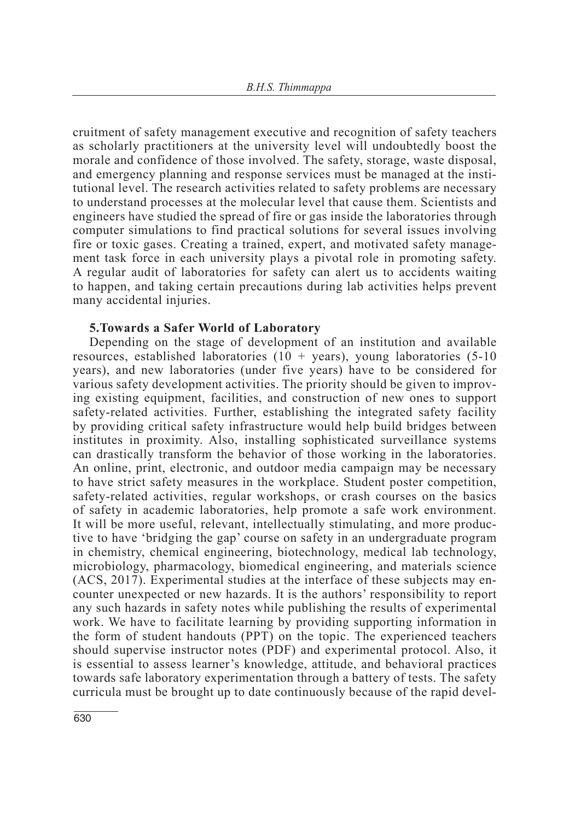cruitment of safety management executive and recognition of safety teachers as scholarly practitioners at the university level will undoubtedly boost the morale and confidence of those involved. The safety, storage, waste disposal, and emergency planning and response services must be managed at the institutional level. The research activities related to safety problems are necessary to understand processes at the molecular level that cause them. Scientists and engineers have studied the spread of fire or gas inside the laboratories through computer simulations to find practical solutions for several issues involving fire or toxic gases. Creating a trained, expert, and motivated safety management task force in each university plays a pivotal role in promoting safety. A regular audit of laboratories for safety can alert us to accidents waiting to happen, and taking certain precautions during lab activities helps prevent many accidental injuries.

## **5.Towards a Safer World of Laboratory**

Depending on the stage of development of an institution and available resources, established laboratories  $(10 + \text{years})$ , young laboratories  $(5-10)$ years), and new laboratories (under five years) have to be considered for various safety development activities. The priority should be given to improving existing equipment, facilities, and construction of new ones to support safety-related activities. Further, establishing the integrated safety facility by providing critical safety infrastructure would help build bridges between institutes in proximity. Also, installing sophisticated surveillance systems can drastically transform the behavior of those working in the laboratories. An online, print, electronic, and outdoor media campaign may be necessary to have strict safety measures in the workplace. Student poster competition, safety-related activities, regular workshops, or crash courses on the basics of safety in academic laboratories, help promote a safe work environment. It will be more useful, relevant, intellectually stimulating, and more productive to have 'bridging the gap' course on safety in an undergraduate program in chemistry, chemical engineering, biotechnology, medical lab technology, microbiology, pharmacology, biomedical engineering, and materials science (ACS, 2017). Experimental studies at the interface of these subjects may encounter unexpected or new hazards. It is the authors' responsibility to report any such hazards in safety notes while publishing the results of experimental work. We have to facilitate learning by providing supporting information in the form of student handouts (PPT) on the topic. The experienced teachers should supervise instructor notes (PDF) and experimental protocol. Also, it is essential to assess learner's knowledge, attitude, and behavioral practices towards safe laboratory experimentation through a battery of tests. The safety curricula must be brought up to date continuously because of the rapid devel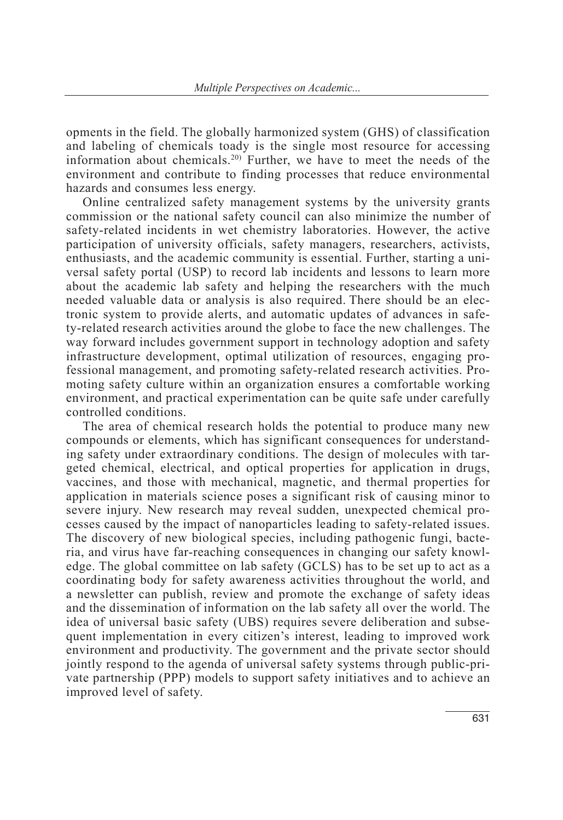opments in the field. The globally harmonized system (GHS) of classification and labeling of chemicals toady is the single most resource for accessing information about chemicals.20) Further, we have to meet the needs of the environment and contribute to finding processes that reduce environmental hazards and consumes less energy.

Online centralized safety management systems by the university grants commission or the national safety council can also minimize the number of safety-related incidents in wet chemistry laboratories. However, the active participation of university officials, safety managers, researchers, activists, enthusiasts, and the academic community is essential. Further, starting a universal safety portal (USP) to record lab incidents and lessons to learn more about the academic lab safety and helping the researchers with the much needed valuable data or analysis is also required. There should be an electronic system to provide alerts, and automatic updates of advances in safety-related research activities around the globe to face the new challenges. The way forward includes government support in technology adoption and safety infrastructure development, optimal utilization of resources, engaging professional management, and promoting safety-related research activities. Promoting safety culture within an organization ensures a comfortable working environment, and practical experimentation can be quite safe under carefully controlled conditions.

The area of chemical research holds the potential to produce many new compounds or elements, which has significant consequences for understanding safety under extraordinary conditions. The design of molecules with targeted chemical, electrical, and optical properties for application in drugs, vaccines, and those with mechanical, magnetic, and thermal properties for application in materials science poses a significant risk of causing minor to severe injury. New research may reveal sudden, unexpected chemical processes caused by the impact of nanoparticles leading to safety-related issues. The discovery of new biological species, including pathogenic fungi, bacteria, and virus have far-reaching consequences in changing our safety knowledge. The global committee on lab safety (GCLS) has to be set up to act as a coordinating body for safety awareness activities throughout the world, and a newsletter can publish, review and promote the exchange of safety ideas and the dissemination of information on the lab safety all over the world. The idea of universal basic safety (UBS) requires severe deliberation and subsequent implementation in every citizen's interest, leading to improved work environment and productivity. The government and the private sector should jointly respond to the agenda of universal safety systems through public-private partnership (PPP) models to support safety initiatives and to achieve an improved level of safety.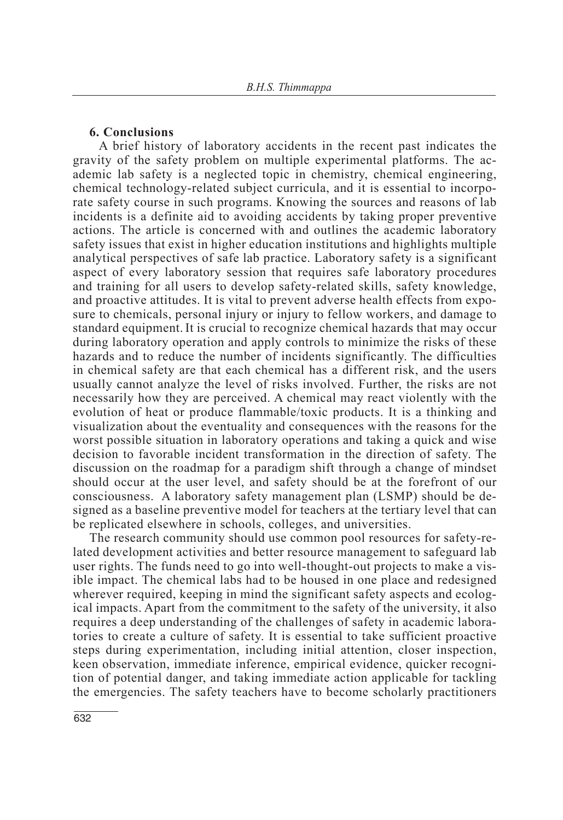### **6. Conclusions**

 A brief history of laboratory accidents in the recent past indicates the gravity of the safety problem on multiple experimental platforms. The academic lab safety is a neglected topic in chemistry, chemical engineering, chemical technology-related subject curricula, and it is essential to incorporate safety course in such programs. Knowing the sources and reasons of lab incidents is a definite aid to avoiding accidents by taking proper preventive actions. The article is concerned with and outlines the academic laboratory safety issues that exist in higher education institutions and highlights multiple analytical perspectives of safe lab practice. Laboratory safety is a significant aspect of every laboratory session that requires safe laboratory procedures and training for all users to develop safety-related skills, safety knowledge, and proactive attitudes. It is vital to prevent adverse health effects from exposure to chemicals, personal injury or injury to fellow workers, and damage to standard equipment.It is crucial to recognize chemical hazards that may occur during laboratory operation and apply controls to minimize the risks of these hazards and to reduce the number of incidents significantly. The difficulties in chemical safety are that each chemical has a different risk, and the users usually cannot analyze the level of risks involved. Further, the risks are not necessarily how they are perceived. A chemical may react violently with the evolution of heat or produce flammable/toxic products. It is a thinking and visualization about the eventuality and consequences with the reasons for the worst possible situation in laboratory operations and taking a quick and wise decision to favorable incident transformation in the direction of safety. The discussion on the roadmap for a paradigm shift through a change of mindset should occur at the user level, and safety should be at the forefront of our consciousness. A laboratory safety management plan (LSMP) should be designed as a baseline preventive model for teachers at the tertiary level that can be replicated elsewhere in schools, colleges, and universities.

The research community should use common pool resources for safety-related development activities and better resource management to safeguard lab user rights. The funds need to go into well-thought-out projects to make a visible impact. The chemical labs had to be housed in one place and redesigned wherever required, keeping in mind the significant safety aspects and ecological impacts. Apart from the commitment to the safety of the university, it also requires a deep understanding of the challenges of safety in academic laboratories to create a culture of safety. It is essential to take sufficient proactive steps during experimentation, including initial attention, closer inspection, keen observation, immediate inference, empirical evidence, quicker recognition of potential danger, and taking immediate action applicable for tackling the emergencies. The safety teachers have to become scholarly practitioners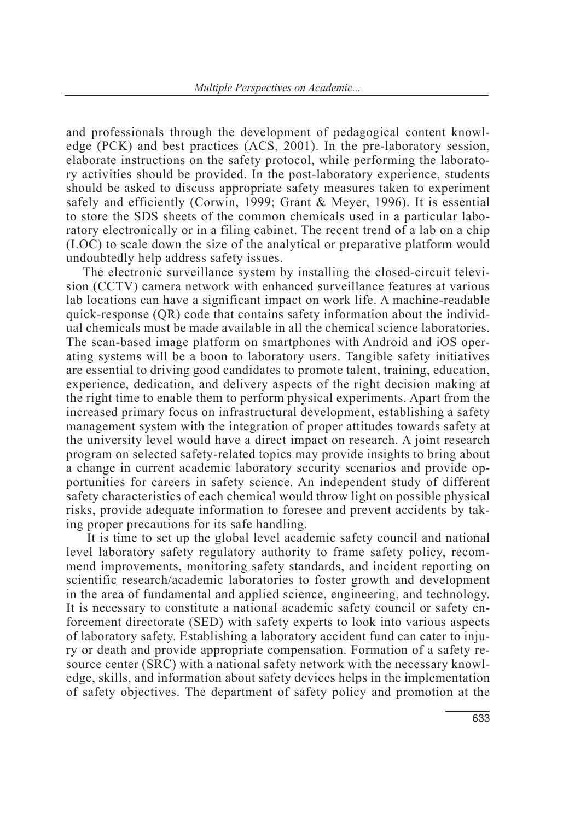and professionals through the development of pedagogical content knowledge (PCK) and best practices (ACS, 2001). In the pre-laboratory session, elaborate instructions on the safety protocol, while performing the laboratory activities should be provided. In the post-laboratory experience, students should be asked to discuss appropriate safety measures taken to experiment safely and efficiently (Corwin, 1999; Grant & Meyer, 1996). It is essential to store the SDS sheets of the common chemicals used in a particular laboratory electronically or in a filing cabinet. The recent trend of a lab on a chip (LOC) to scale down the size of the analytical or preparative platform would undoubtedly help address safety issues.

The electronic surveillance system by installing the closed-circuit television (CCTV) camera network with enhanced surveillance features at various lab locations can have a significant impact on work life. A machine-readable quick-response (QR) code that contains safety information about the individual chemicals must be made available in all the chemical science laboratories. The scan-based image platform on smartphones with Android and iOS operating systems will be a boon to laboratory users. Tangible safety initiatives are essential to driving good candidates to promote talent, training, education, experience, dedication, and delivery aspects of the right decision making at the right time to enable them to perform physical experiments. Apart from the increased primary focus on infrastructural development, establishing a safety management system with the integration of proper attitudes towards safety at the university level would have a direct impact on research. A joint research program on selected safety-related topics may provide insights to bring about a change in current academic laboratory security scenarios and provide opportunities for careers in safety science. An independent study of different safety characteristics of each chemical would throw light on possible physical risks, provide adequate information to foresee and prevent accidents by taking proper precautions for its safe handling.

 It is time to set up the global level academic safety council and national level laboratory safety regulatory authority to frame safety policy, recommend improvements, monitoring safety standards, and incident reporting on scientific research/academic laboratories to foster growth and development in the area of fundamental and applied science, engineering, and technology. It is necessary to constitute a national academic safety council or safety enforcement directorate (SED) with safety experts to look into various aspects of laboratory safety. Establishing a laboratory accident fund can cater to injury or death and provide appropriate compensation. Formation of a safety resource center (SRC) with a national safety network with the necessary knowledge, skills, and information about safety devices helps in the implementation of safety objectives. The department of safety policy and promotion at the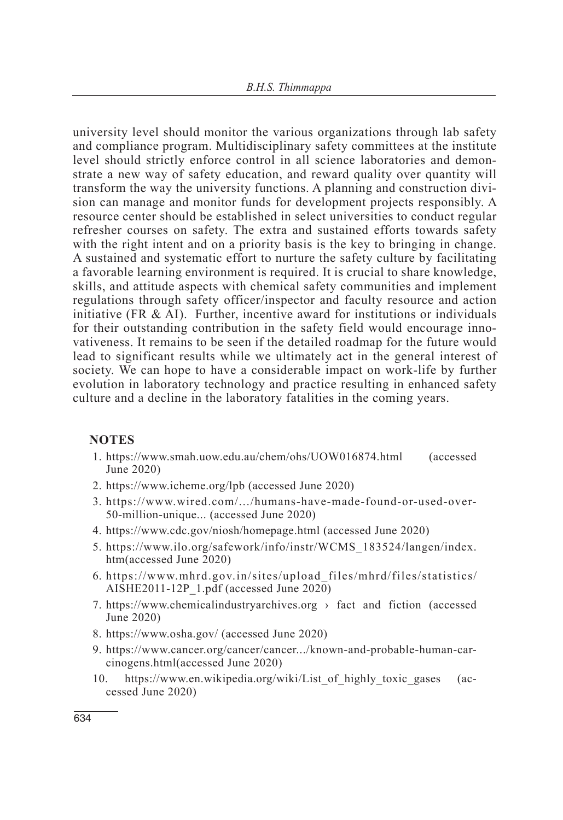university level should monitor the various organizations through lab safety and compliance program. Multidisciplinary safety committees at the institute level should strictly enforce control in all science laboratories and demonstrate a new way of safety education, and reward quality over quantity will transform the way the university functions. A planning and construction division can manage and monitor funds for development projects responsibly. A resource center should be established in select universities to conduct regular refresher courses on safety. The extra and sustained efforts towards safety with the right intent and on a priority basis is the key to bringing in change. A sustained and systematic effort to nurture the safety culture by facilitating a favorable learning environment is required. It is crucial to share knowledge, skills, and attitude aspects with chemical safety communities and implement regulations through safety officer/inspector and faculty resource and action initiative (FR  $\&$  AI). Further, incentive award for institutions or individuals for their outstanding contribution in the safety field would encourage innovativeness. It remains to be seen if the detailed roadmap for the future would lead to significant results while we ultimately act in the general interest of society. We can hope to have a considerable impact on work-life by further evolution in laboratory technology and practice resulting in enhanced safety culture and a decline in the laboratory fatalities in the coming years.

## **NOTES**

- 1. https://www.smah.uow.edu.au/chem/ohs/UOW016874.html (accessed June 2020)
- 2. https://www.icheme.org/lpb (accessed June 2020)
- 3. https://www.wired.com/.../humans-have-made-found-or-used-over-50-million-unique... (accessed June 2020)
- 4. https://www.cdc.gov/niosh/homepage.html (accessed June 2020)
- 5. https://www.ilo.org/safework/info/instr/WCMS\_183524/langen/index. htm(accessed June 2020)
- 6. https://www.mhrd.gov.in/sites/upload\_files/mhrd/files/statistics/ AISHE2011-12P\_1.pdf (accessed June 2020)
- 7. https://www.chemicalindustryarchives.org  $\rightarrow$  fact and fiction (accessed June 2020)
- 8. https://www.osha.gov/ (accessed June 2020)
- 9. https://www.cancer.org/cancer/cancer.../known-and-probable-human-carcinogens.html(accessed June 2020)
- 10. https://www.en.wikipedia.org/wiki/List\_of\_highly\_toxic\_gases (accessed June 2020)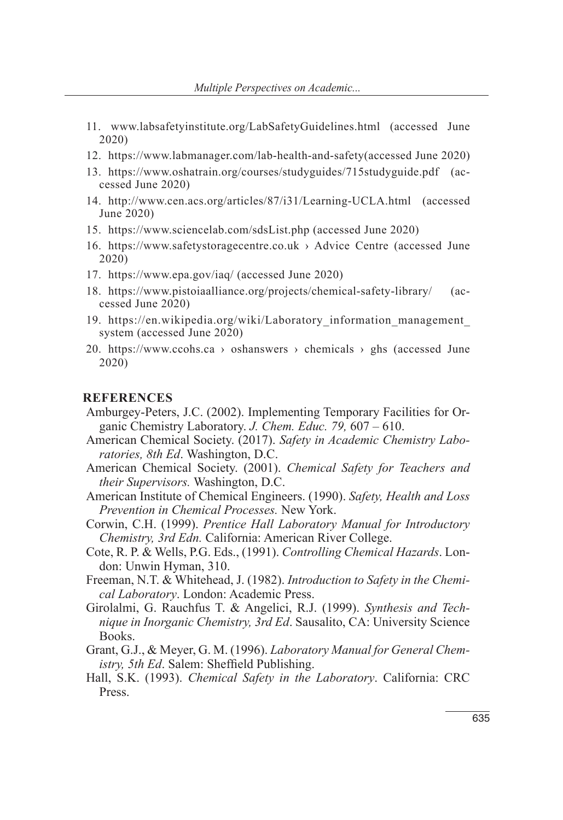- 11. www.labsafetyinstitute.org/LabSafetyGuidelines.html (accessed June 2020)
- 12. https://www.labmanager.com/lab-health-and-safety(accessed June 2020)
- 13. https://www.oshatrain.org/courses/studyguides/715studyguide.pdf (accessed June 2020)
- 14. http://www.cen.acs.org/articles/87/i31/Learning-UCLA.html (accessed June 2020)
- 15. https://www.sciencelab.com/sdsList.php (accessed June 2020)
- 16. https://www.safetystoragecentre.co.uk › Advice Centre (accessed June 2020)
- 17. https://www.epa.gov/iaq/ (accessed June 2020)
- 18. https://www.pistoiaalliance.org/projects/chemical-safety-library/ (accessed June 2020)
- 19. https://en.wikipedia.org/wiki/Laboratory\_information\_management\_ system (accessed June 2020)
- 20. https://www.ccohs.ca > oshanswers > chemicals > ghs (accessed June 2020)

#### **REFERENCES**

- Amburgey-Peters, J.C. (2002). Implementing Temporary Facilities for Organic Chemistry Laboratory. *J. Chem. Educ. 79,* 607 – 610.
- American Chemical Society. (2017). *Safety in Academic Chemistry Laboratories, 8th Ed*. Washington, D.C.
- American Chemical Society. (2001). *Chemical Safety for Teachers and their Supervisors.* Washington, D.C.
- American Institute of Chemical Engineers. (1990). *Safety, Health and Loss Prevention in Chemical Processes.* New York.
- Corwin, C.H. (1999). *Prentice Hall Laboratory Manual for Introductory Chemistry, 3rd Edn.* California: American River College.
- Cote, R. P. & Wells, P.G. Eds., (1991). *Controlling Chemical Hazards*. London: Unwin Hyman, 310.
- Freeman, N.T. & Whitehead, J. (1982). *Introduction to Safety in the Chemical Laboratory*. London: Academic Press.
- Girolalmi, G. Rauchfus T. & Angelici, R.J. (1999). *Synthesis and Technique in Inorganic Chemistry, 3rd Ed*. Sausalito, CA: University Science Books.
- Grant, G.J., & Meyer, G. M. (1996). *Laboratory Manual for General Chemistry, 5th Ed*. Salem: Sheffield Publishing.
- Hall, S.K. (1993). *Chemical Safety in the Laboratory*. California: CRC Press.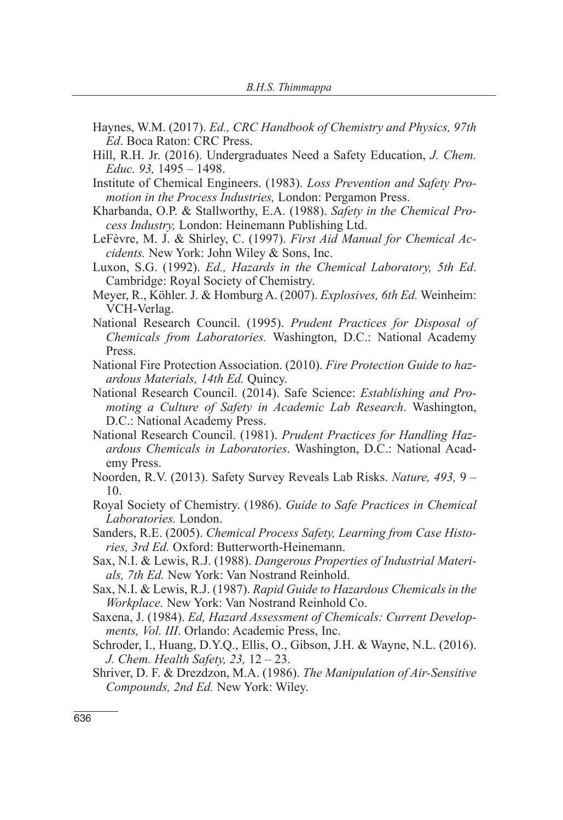- Haynes, W.M. (2017). *Ed., CRC Handbook of Chemistry and Physics, 97th Ed*. Boca Raton: CRC Press.
- Hill, R.H. Jr. (2016). Undergraduates Need a Safety Education, *J. Chem. Educ. 93,* 1495 – 1498.
- Institute of Chemical Engineers. (1983). *Loss Prevention and Safety Promotion in the Process Industries,* London: Pergamon Press.
- Kharbanda, O.P. & Stallworthy, E.A. (1988). *Safety in the Chemical Process Industry,* London: Heinemann Publishing Ltd.
- LeFèvre, M. J. & Shirley, C. (1997). *First Aid Manual for Chemical Accidents.* New York: John Wiley & Sons, Inc.
- Luxon, S.G. (1992). *Ed., Hazards in the Chemical Laboratory, 5th Ed*. Cambridge: Royal Society of Chemistry.
- Meyer, R., Köhler. J. & Homburg A. (2007). *Explosives, 6th Ed.* Weinheim: VCH-Verlag.
- National Research Council. (1995). *Prudent Practices for Disposal of Chemicals from Laboratories.* Washington, D.C.: National Academy Press.
- National Fire Protection Association. (2010). *Fire Protection Guide to hazardous Materials, 14th Ed.* Quincy.
- National Research Council. (2014). Safe Science: *Establishing and Promoting a Culture of Safety in Academic Lab Research*. Washington, D.C.: National Academy Press.
- National Research Council. (1981). *Prudent Practices for Handling Hazardous Chemicals in Laboratories*. Washington, D.C.: National Academy Press.
- Noorden, R.V. (2013). Safety Survey Reveals Lab Risks. *Nature, 493,* 9 10.
- Royal Society of Chemistry. (1986). *Guide to Safe Practices in Chemical Laboratories.* London.
- Sanders, R.E. (2005). *Chemical Process Safety, Learning from Case Histories, 3rd Ed.* Oxford: Butterworth-Heinemann.
- Sax, N.I. & Lewis, R.J. (1988). *Dangerous Properties of Industrial Materials, 7th Ed.* New York: Van Nostrand Reinhold.
- Sax, N.I. & Lewis, R.J. (1987). *Rapid Guide to Hazardous Chemicals in the Workplace.* New York: Van Nostrand Reinhold Co.
- Saxena, J. (1984). *Ed, Hazard Assessment of Chemicals: Current Developments, Vol. III*. Orlando: Academic Press, Inc.
- Schroder, I., Huang, D.Y.Q., Ellis, O., Gibson, J.H. & Wayne, N.L. (2016). *J. Chem. Health Safety, 23,* 12 – 23.
- Shriver, D. F. & Drezdzon, M.A. (1986). *The Manipulation of Air-Sensitive Compounds, 2nd Ed.* New York: Wiley.